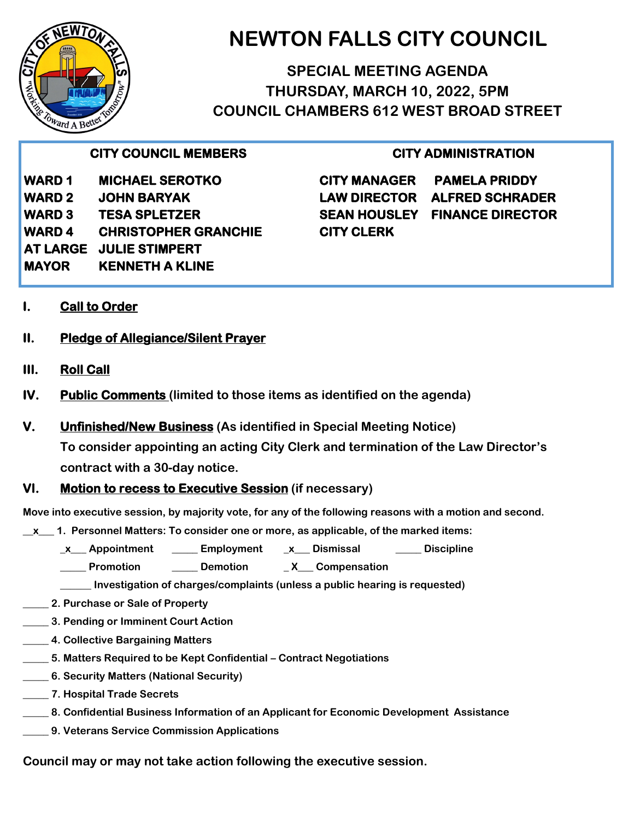

# **NEWTON FALLS CITY COUNCIL**

**SPECIAL MEETING AGENDA THURSDAY, MARCH 10, 2022, 5PM COUNCIL CHAMBERS 612 WEST BROAD STREET**

### **CITY COUNCIL MEMBERS**

**WARD 1 MICHAEL SEROTKO WARD 2 JOHN BARYAK WARD 3 TESA SPLETZER WARD 4 CHRISTOPHER GRANCHIE AT LARGE JULIE STIMPERT MAYOR KENNETH A KLINE** 

#### **CITY ADMINISTRATION**

**CITY MANAGER PAMELA PRIDDY LAW DIRECTOR ALFRED SCHRADER SEAN HOUSLEY FINANCE DIRECTOR CITY CLERK** 

- **I. Call to Order**
- **II. Pledge of Allegiance/Silent Prayer**
- **III. Roll Call**
- **IV. Public Comments (limited to those items as identified on the agenda)**
- **V. Unfinished/New Business (As identified in Special Meeting Notice)**

**To consider appointing an acting City Clerk and termination of the Law Director's contract with a 30-day notice.** 

#### **VI. Motion to recess to Executive Session (if necessary)**

**Move into executive session, by majority vote, for any of the following reasons with a motion and second.**

**\_\_x\_\_\_ 1. Personnel Matters: To consider one or more, as applicable, of the marked items:** 

- **\_x\_\_\_ Appointment \_\_\_\_\_ Employment \_x\_\_\_ Dismissal \_\_\_\_\_ Discipline**
- **\_\_\_\_\_ Promotion \_\_\_\_\_ Demotion \_ X\_\_\_ Compensation**

**\_\_\_\_\_\_ Investigation of charges/complaints (unless a public hearing is requested)**

- **\_\_\_\_\_ 2. Purchase or Sale of Property**
- **\_\_\_\_\_ 3. Pending or Imminent Court Action**
- **\_\_\_\_\_ 4. Collective Bargaining Matters**
- **\_\_\_\_\_ 5. Matters Required to be Kept Confidential – Contract Negotiations**
- **\_\_\_\_\_ 6. Security Matters (National Security)**
- **\_\_\_\_\_ 7. Hospital Trade Secrets**
- **\_\_\_\_\_ 8. Confidential Business Information of an Applicant for Economic Development Assistance**
- **\_\_\_\_\_ 9. Veterans Service Commission Applications**

**Council may or may not take action following the executive session.**